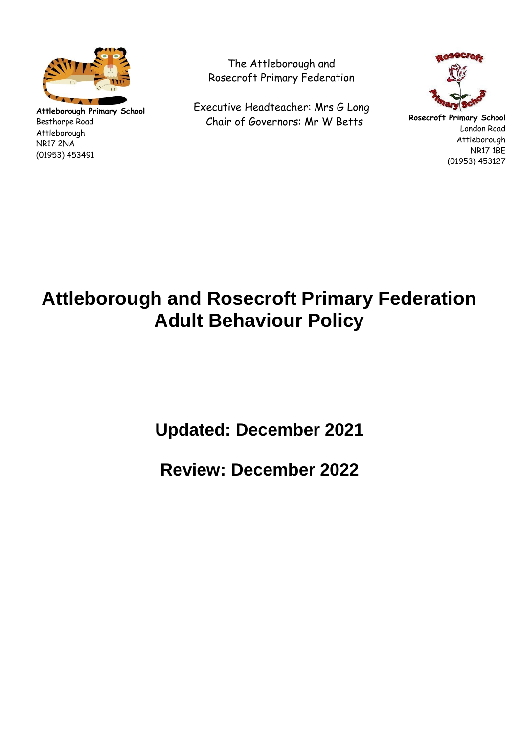

**Attleborough Primary School** Besthorpe Road Attleborough NR17 2NA (01953) 453491

The Attleborough and Rosecroft Primary Federation

Executive Headteacher: Mrs G Long Chair of Governors: Mr W Betts



**Rosecroft Primary School** London Road Attleborough NR17 1BE (01953) 453127

# **Attleborough and Rosecroft Primary Federation Adult Behaviour Policy**

**Updated: December 2021** 

**Review: December 2022**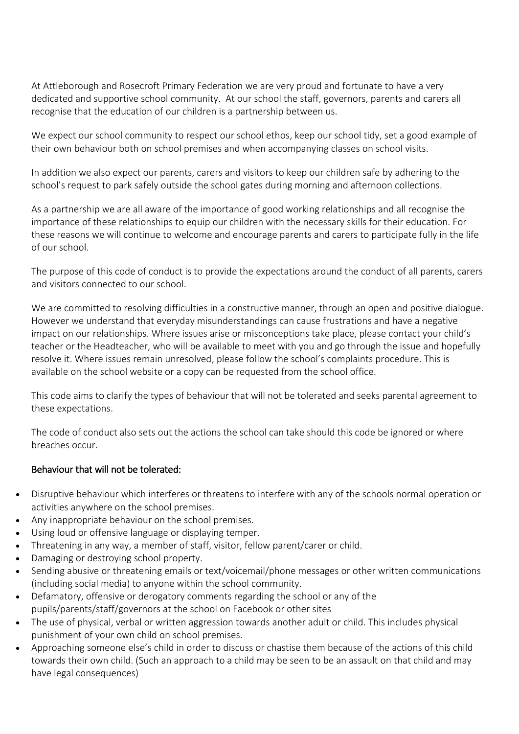At Attleborough and Rosecroft Primary Federation we are very proud and fortunate to have a very dedicated and supportive school community. At our school the staff, governors, parents and carers all recognise that the education of our children is a partnership between us.

We expect our school community to respect our school ethos, keep our school tidy, set a good example of their own behaviour both on school premises and when accompanying classes on school visits.

In addition we also expect our parents, carers and visitors to keep our children safe by adhering to the school's request to park safely outside the school gates during morning and afternoon collections.

As a partnership we are all aware of the importance of good working relationships and all recognise the importance of these relationships to equip our children with the necessary skills for their education. For these reasons we will continue to welcome and encourage parents and carers to participate fully in the life of our school.

The purpose of this code of conduct is to provide the expectations around the conduct of all parents, carers and visitors connected to our school.

We are committed to resolving difficulties in a constructive manner, through an open and positive dialogue. However we understand that everyday misunderstandings can cause frustrations and have a negative impact on our relationships. Where issues arise or misconceptions take place, please contact your child's teacher or the Headteacher, who will be available to meet with you and go through the issue and hopefully resolve it. Where issues remain unresolved, please follow the school's complaints procedure. This is available on the school website or a copy can be requested from the school office.

This code aims to clarify the types of behaviour that will not be tolerated and seeks parental agreement to these expectations.

The code of conduct also sets out the actions the school can take should this code be ignored or where breaches occur.

## Behaviour that will not be tolerated:

- Disruptive behaviour which interferes or threatens to interfere with any of the schools normal operation or activities anywhere on the school premises.
- Any inappropriate behaviour on the school premises.
- Using loud or offensive language or displaying temper.
- Threatening in any way, a member of staff, visitor, fellow parent/carer or child.
- Damaging or destroying school property.
- Sending abusive or threatening emails or text/voicemail/phone messages or other written communications (including social media) to anyone within the school community.
- Defamatory, offensive or derogatory comments regarding the school or any of the pupils/parents/staff/governors at the school on Facebook or other sites
- The use of physical, verbal or written aggression towards another adult or child. This includes physical punishment of your own child on school premises.
- Approaching someone else's child in order to discuss or chastise them because of the actions of this child towards their own child. (Such an approach to a child may be seen to be an assault on that child and may have legal consequences)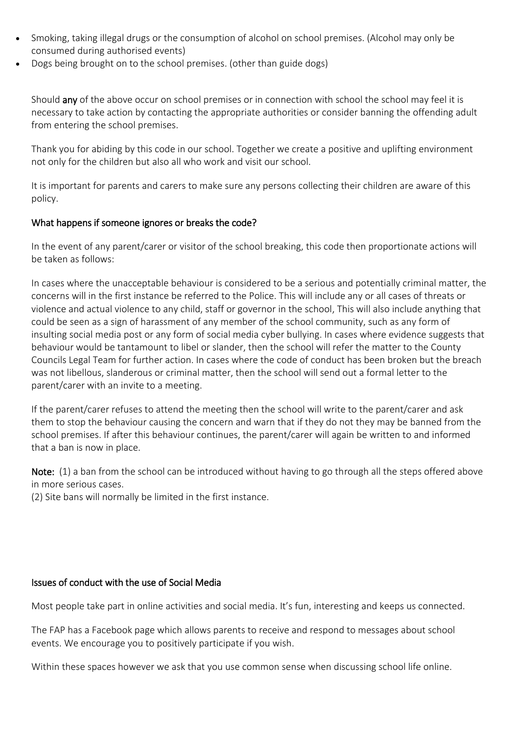- Smoking, taking illegal drugs or the consumption of alcohol on school premises. (Alcohol may only be consumed during authorised events)
- Dogs being brought on to the school premises. (other than guide dogs)

Should any of the above occur on school premises or in connection with school the school may feel it is necessary to take action by contacting the appropriate authorities or consider banning the offending adult from entering the school premises.

Thank you for abiding by this code in our school. Together we create a positive and uplifting environment not only for the children but also all who work and visit our school.

It is important for parents and carers to make sure any persons collecting their children are aware of this policy.

## What happens if someone ignores or breaks the code?

In the event of any parent/carer or visitor of the school breaking, this code then proportionate actions will be taken as follows:

In cases where the unacceptable behaviour is considered to be a serious and potentially criminal matter, the concerns will in the first instance be referred to the Police. This will include any or all cases of threats or violence and actual violence to any child, staff or governor in the school, This will also include anything that could be seen as a sign of harassment of any member of the school community, such as any form of insulting social media post or any form of social media cyber bullying. In cases where evidence suggests that behaviour would be tantamount to libel or slander, then the school will refer the matter to the County Councils Legal Team for further action. In cases where the code of conduct has been broken but the breach was not libellous, slanderous or criminal matter, then the school will send out a formal letter to the parent/carer with an invite to a meeting.

If the parent/carer refuses to attend the meeting then the school will write to the parent/carer and ask them to stop the behaviour causing the concern and warn that if they do not they may be banned from the school premises. If after this behaviour continues, the parent/carer will again be written to and informed that a ban is now in place.

Note: (1) a ban from the school can be introduced without having to go through all the steps offered above in more serious cases.

(2) Site bans will normally be limited in the first instance.

## Issues of conduct with the use of Social Media

Most people take part in online activities and social media. It's fun, interesting and keeps us connected.

The FAP has a Facebook page which allows parents to receive and respond to messages about school events. We encourage you to positively participate if you wish.

Within these spaces however we ask that you use common sense when discussing school life online.